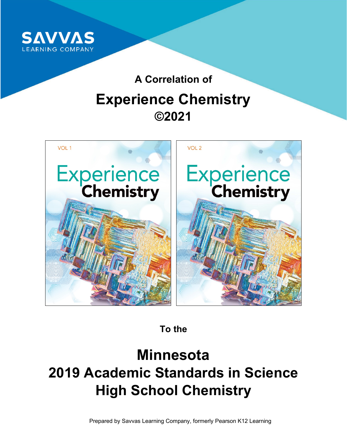

# **A Correlation of Experience Chemistry ©2021**



**To the**

# **Minnesota 2019 Academic Standards in Science High School Chemistry**

Prepared by Savvas Learning Company, formerly Pearson K12 Learning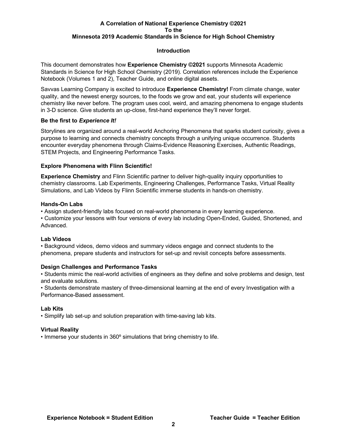#### **Introduction**

This document demonstrates how **Experience Chemistry ©2021** supports Minnesota Academic Standards in Science for High School Chemistry (2019). Correlation references include the Experience Notebook (Volumes 1 and 2), Teacher Guide, and online digital assets.

Savvas Learning Company is excited to introduce **Experience Chemistry!** From climate change, water quality, and the newest energy sources, to the foods we grow and eat, your students will experience chemistry like never before. The program uses cool, weird, and amazing phenomena to engage students in 3-D science. Give students an up-close, first-hand experience they'll never forget.

#### **Be the first to** *Experience It!*

Storylines are organized around a real-world Anchoring Phenomena that sparks student curiosity, gives a purpose to learning and connects chemistry concepts through a unifying unique occurrence. Students encounter everyday phenomena through Claims-Evidence Reasoning Exercises, Authentic Readings, STEM Projects, and Engineering Performance Tasks.

## **Explore Phenomena with Flinn Scientific!**

**Experience Chemistry** and Flinn Scientific partner to deliver high-quality inquiry opportunities to chemistry classrooms. Lab Experiments, Engineering Challenges, Performance Tasks, Virtual Reality Simulations, and Lab Videos by Flinn Scientific immerse students in hands-on chemistry.

#### **Hands-On Labs**

• Assign student-friendly labs focused on real-world phenomena in every learning experience.

• Customize your lessons with four versions of every lab including Open-Ended, Guided, Shortened, and Advanced.

## **Lab Videos**

• Background videos, demo videos and summary videos engage and connect students to the phenomena, prepare students and instructors for set-up and revisit concepts before assessments.

#### **Design Challenges and Performance Tasks**

• Students mimic the real-world activities of engineers as they define and solve problems and design, test and evaluate solutions.

• Students demonstrate mastery of three-dimensional learning at the end of every Investigation with a Performance-Based assessment.

#### **Lab Kits**

• Simplify lab set-up and solution preparation with time-saving lab kits.

## **Virtual Reality**

• Immerse your students in 360º simulations that bring chemistry to life.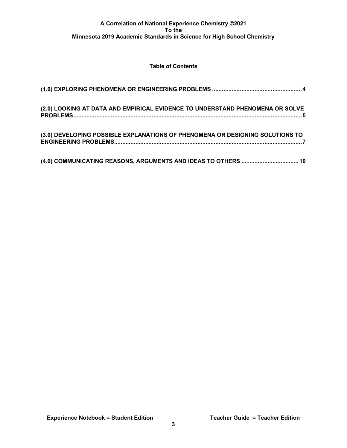# **Table of Contents**

| (2.0) LOOKING AT DATA AND EMPIRICAL EVIDENCE TO UNDERSTAND PHENOMENA OR SOLVE |
|-------------------------------------------------------------------------------|
| (3.0) DEVELOPING POSSIBLE EXPLANATIONS OF PHENOMENA OR DESIGNING SOLUTIONS TO |
| (4.0) COMMUNICATING REASONS, ARGUMENTS AND IDEAS TO OTHERS  10                |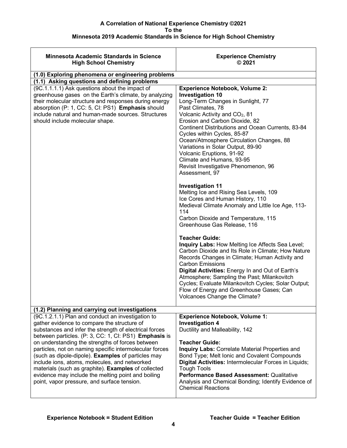| <b>Minnesota Academic Standards in Science</b><br><b>High School Chemistry</b>                                                                                                                                                                                                                                                                                                                                                                                                                                                                                                                        | <b>Experience Chemistry</b><br>@2021                                                                                                                                                                                                                                                                                                                                                                                                                                                                |
|-------------------------------------------------------------------------------------------------------------------------------------------------------------------------------------------------------------------------------------------------------------------------------------------------------------------------------------------------------------------------------------------------------------------------------------------------------------------------------------------------------------------------------------------------------------------------------------------------------|-----------------------------------------------------------------------------------------------------------------------------------------------------------------------------------------------------------------------------------------------------------------------------------------------------------------------------------------------------------------------------------------------------------------------------------------------------------------------------------------------------|
| (1.0) Exploring phenomena or engineering problems                                                                                                                                                                                                                                                                                                                                                                                                                                                                                                                                                     |                                                                                                                                                                                                                                                                                                                                                                                                                                                                                                     |
| (1.1) Asking questions and defining problems                                                                                                                                                                                                                                                                                                                                                                                                                                                                                                                                                          |                                                                                                                                                                                                                                                                                                                                                                                                                                                                                                     |
| (9C.1.1.1.1) Ask questions about the impact of<br>greenhouse gases on the Earth's climate, by analyzing<br>their molecular structure and responses during energy<br>absorption (P: 1, CC: 5, CI: PS1) Emphasis should<br>include natural and human-made sources. Structures<br>should include molecular shape.                                                                                                                                                                                                                                                                                        | <b>Experience Notebook, Volume 2:</b><br><b>Investigation 10</b><br>Long-Term Changes in Sunlight, 77<br>Past Climates, 78<br>Volcanic Activity and CO <sub>2</sub> , 81<br>Erosion and Carbon Dioxide, 82<br>Continent Distributions and Ocean Currents, 83-84<br>Cycles within Cycles, 85-87<br>Ocean/Atmosphere Circulation Changes, 88<br>Variations in Solar Output, 89-90<br>Volcanic Eruptions, 91-92<br>Climate and Humans, 93-95<br>Revisit Investigative Phenomenon, 96<br>Assessment, 97 |
|                                                                                                                                                                                                                                                                                                                                                                                                                                                                                                                                                                                                       | <b>Investigation 11</b><br>Melting Ice and Rising Sea Levels, 109<br>Ice Cores and Human History, 110<br>Medieval Climate Anomaly and Little Ice Age, 113-<br>114<br>Carbon Dioxide and Temperature, 115<br>Greenhouse Gas Release, 116                                                                                                                                                                                                                                                             |
|                                                                                                                                                                                                                                                                                                                                                                                                                                                                                                                                                                                                       | <b>Teacher Guide:</b><br>Inquiry Labs: How Melting Ice Affects Sea Level;<br>Carbon Dioxide and Its Role in Climate; How Nature<br>Records Changes in Climate; Human Activity and<br><b>Carbon Emissions</b><br>Digital Activities: Energy In and Out of Earth's<br>Atmosphere; Sampling the Past; Milankovitch<br>Cycles; Evaluate Milankovitch Cycles; Solar Output;<br>Flow of Energy and Greenhouse Gases; Can<br>Volcanoes Change the Climate?                                                 |
| (1.2) Planning and carrying out investigations                                                                                                                                                                                                                                                                                                                                                                                                                                                                                                                                                        |                                                                                                                                                                                                                                                                                                                                                                                                                                                                                                     |
| (9C.1.2.1.1) Plan and conduct an investigation to<br>gather evidence to compare the structure of<br>substances and infer the strength of electrical forces<br>between particles. (P: 3, CC: 1, CI: PS1) Emphasis is<br>on understanding the strengths of forces between<br>particles, not on naming specific intermolecular forces<br>(such as dipole-dipole). Examples of particles may<br>include ions, atoms, molecules, and networked<br>materials (such as graphite). Examples of collected<br>evidence may include the melting point and boiling<br>point, vapor pressure, and surface tension. | <b>Experience Notebook, Volume 1:</b><br><b>Investigation 4</b><br>Ductility and Malleability, 142<br><b>Teacher Guide:</b><br>Inquiry Labs: Correlate Material Properties and<br>Bond Type; Melt Ionic and Covalent Compounds<br>Digital Activities: Intermolecular Forces in Liquids;<br><b>Tough Tools</b><br>Performance Based Assessment: Qualitative<br>Analysis and Chemical Bonding; Identify Evidence of<br><b>Chemical Reactions</b>                                                      |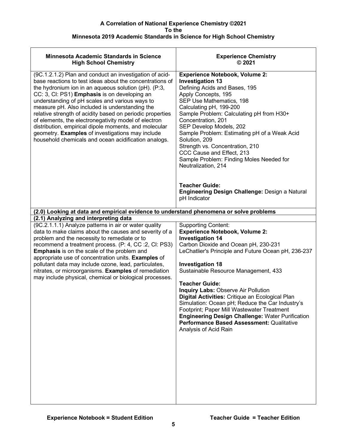| <b>Minnesota Academic Standards in Science</b><br><b>High School Chemistry</b>                                                                                                                                                                                                                                                                                                                                                                                                                                                                                                                                                    | <b>Experience Chemistry</b><br>@2021                                                                                                                                                                                                                                                                                                                                                                                                                                                                                                                                                                                         |
|-----------------------------------------------------------------------------------------------------------------------------------------------------------------------------------------------------------------------------------------------------------------------------------------------------------------------------------------------------------------------------------------------------------------------------------------------------------------------------------------------------------------------------------------------------------------------------------------------------------------------------------|------------------------------------------------------------------------------------------------------------------------------------------------------------------------------------------------------------------------------------------------------------------------------------------------------------------------------------------------------------------------------------------------------------------------------------------------------------------------------------------------------------------------------------------------------------------------------------------------------------------------------|
| (9C.1.2.1.2) Plan and conduct an investigation of acid-<br>base reactions to test ideas about the concentrations of<br>the hydronium ion in an aqueous solution ( $pH$ ). ( $P:3$ ,<br>CC: 3, CI: PS1) Emphasis is on developing an<br>understanding of pH scales and various ways to<br>measure pH. Also included is understanding the<br>relative strength of acidity based on periodic properties<br>of elements, the electronegativity model of electron<br>distribution, empirical dipole moments, and molecular<br>geometry. Examples of investigations may include<br>household chemicals and ocean acidification analogs. | <b>Experience Notebook, Volume 2:</b><br><b>Investigation 13</b><br>Defining Acids and Bases, 195<br>Apply Concepts, 195<br>SEP Use Mathematics, 198<br>Calculating pH, 199-200<br>Sample Problem: Calculating pH from H30+<br>Concentration, 201<br>SEP Develop Models, 202<br>Sample Problem: Estimating pH of a Weak Acid<br>Solution, 209<br>Strength vs. Concentration, 210<br>CCC Cause and Effect, 213<br>Sample Problem: Finding Moles Needed for<br>Neutralization, 214<br><b>Teacher Guide:</b><br>Engineering Design Challenge: Design a Natural<br>pH Indicator                                                  |
|                                                                                                                                                                                                                                                                                                                                                                                                                                                                                                                                                                                                                                   |                                                                                                                                                                                                                                                                                                                                                                                                                                                                                                                                                                                                                              |
| (2.0) Looking at data and empirical evidence to understand phenomena or solve problems                                                                                                                                                                                                                                                                                                                                                                                                                                                                                                                                            |                                                                                                                                                                                                                                                                                                                                                                                                                                                                                                                                                                                                                              |
| (2.1) Analyzing and interpreting data<br>(9C.2.1.1.1) Analyze patterns in air or water quality<br>data to make claims about the causes and severity of a<br>problem and the necessity to remediate or to<br>recommend a treatment process. (P: 4, CC : 2, CI: PS3)<br>Emphasis is on the scale of the problem and<br>appropriate use of concentration units. Examples of<br>pollutant data may include ozone, lead, particulates,<br>nitrates, or microorganisms. Examples of remediation<br>may include physical, chemical or biological processes.                                                                              | <b>Supporting Content:</b><br><b>Experience Notebook, Volume 2:</b><br><b>Investigation 14</b><br>Carbon Dioxide and Ocean pH, 230-231<br>LeChatlier's Principle and Future Ocean pH, 236-237<br><b>Investigation 18</b><br>Sustainable Resource Management, 433<br><b>Teacher Guide:</b><br><b>Inquiry Labs: Observe Air Pollution</b><br>Digital Activities: Critique an Ecological Plan<br>Simulation: Ocean pH; Reduce the Car Industry's<br>Footprint; Paper Mill Wastewater Treatment<br><b>Engineering Design Challenge: Water Purification</b><br>Performance Based Assessment: Qualitative<br>Analysis of Acid Rain |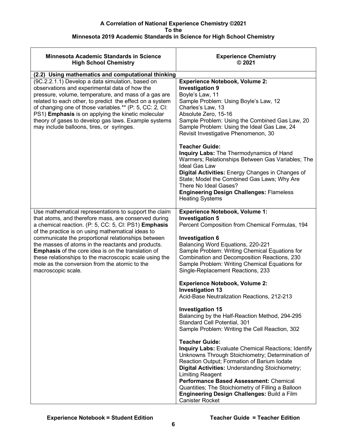| <b>Minnesota Academic Standards in Science</b><br><b>High School Chemistry</b>                                                                                                                                                                                                                                                                                                                                                                                                                                                       | <b>Experience Chemistry</b><br>@2021                                                                                                                                                                                                                                                                                                                                                                                                                                                                                                                                                                                                                                                                                                                                                                                                                                                                                                                                            |
|--------------------------------------------------------------------------------------------------------------------------------------------------------------------------------------------------------------------------------------------------------------------------------------------------------------------------------------------------------------------------------------------------------------------------------------------------------------------------------------------------------------------------------------|---------------------------------------------------------------------------------------------------------------------------------------------------------------------------------------------------------------------------------------------------------------------------------------------------------------------------------------------------------------------------------------------------------------------------------------------------------------------------------------------------------------------------------------------------------------------------------------------------------------------------------------------------------------------------------------------------------------------------------------------------------------------------------------------------------------------------------------------------------------------------------------------------------------------------------------------------------------------------------|
| (2.2) Using mathematics and computational thinking                                                                                                                                                                                                                                                                                                                                                                                                                                                                                   |                                                                                                                                                                                                                                                                                                                                                                                                                                                                                                                                                                                                                                                                                                                                                                                                                                                                                                                                                                                 |
| (9C.2.2.1.1) Develop a data simulation, based on<br>observations and experimental data of how the<br>pressure, volume, temperature, and mass of a gas are<br>related to each other, to predict the effect on a system<br>of changing one of those variables.** (P: 5, CC: 2, CI:<br>PS1) Emphasis is on applying the kinetic molecular<br>theory of gases to develop gas laws. Example systems<br>may include balloons, tires, or syringes.                                                                                          | <b>Experience Notebook, Volume 2:</b><br><b>Investigation 9</b><br>Boyle's Law, 11<br>Sample Problem: Using Boyle's Law, 12<br>Charles's Law, 13<br>Absolute Zero, 15-16<br>Sample Problem: Using the Combined Gas Law, 20<br>Sample Problem: Using the Ideal Gas Law, 24<br>Revisit Investigative Phenomenon, 30                                                                                                                                                                                                                                                                                                                                                                                                                                                                                                                                                                                                                                                               |
|                                                                                                                                                                                                                                                                                                                                                                                                                                                                                                                                      | <b>Teacher Guide:</b><br>Inquiry Labs: The Thermodynamics of Hand<br>Warmers; Relationships Between Gas Variables; The<br><b>Ideal Gas Law</b><br>Digital Activities: Energy Changes in Changes of<br>State; Model the Combined Gas Laws; Why Are<br>There No Ideal Gases?<br><b>Engineering Design Challenges: Flameless</b><br><b>Heating Systems</b>                                                                                                                                                                                                                                                                                                                                                                                                                                                                                                                                                                                                                         |
| Use mathematical representations to support the claim<br>that atoms, and therefore mass, are conserved during<br>a chemical reaction. (P: 5, CC: 5, CI: PS1) Emphasis<br>of the practice is on using mathematical ideas to<br>communicate the proportional relationships between<br>the masses of atoms in the reactants and products.<br><b>Emphasis</b> of the core idea is on the translation of<br>these relationships to the macroscopic scale using the<br>mole as the conversion from the atomic to the<br>macroscopic scale. | <b>Experience Notebook, Volume 1:</b><br><b>Investigation 5</b><br>Percent Composition from Chemical Formulas, 194<br><b>Investigation 6</b><br>Balancing Word Equations, 220-221<br>Sample Problem: Writing Chemical Equations for<br>Combination and Decomposition Reactions, 230<br>Sample Problem: Writing Chemical Equations for<br>Single-Replacement Reactions, 233<br><b>Experience Notebook, Volume 2:</b><br><b>Investigation 13</b><br>Acid-Base Neutralization Reactions, 212-213<br><b>Investigation 15</b><br>Balancing by the Half-Reaction Method, 294-295<br>Standard Cell Potential, 301<br>Sample Problem: Writing the Cell Reaction, 302<br><b>Teacher Guide:</b><br><b>Inquiry Labs: Evaluate Chemical Reactions; Identify</b><br>Unknowns Through Stoichiometry; Determination of<br>Reaction Output; Formation of Barium Iodate<br>Digital Activities: Understanding Stoichiometry;<br><b>Limiting Reagent</b><br>Performance Based Assessment: Chemical |
|                                                                                                                                                                                                                                                                                                                                                                                                                                                                                                                                      | Quantities; The Stoichiometry of Filling a Balloon<br>Engineering Design Challenges: Build a Film<br><b>Canister Rocket</b>                                                                                                                                                                                                                                                                                                                                                                                                                                                                                                                                                                                                                                                                                                                                                                                                                                                     |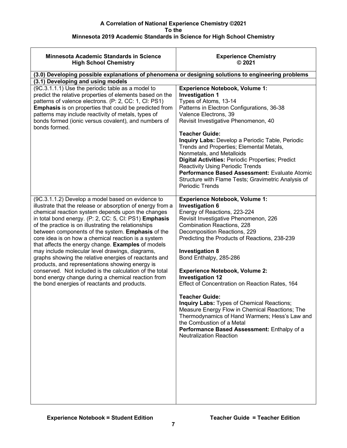| <b>Minnesota Academic Standards in Science</b><br><b>High School Chemistry</b>                                                                                                                                                                                                                                                                                                                                                                                                                                                                                                                                                                                                                                                                                                          | <b>Experience Chemistry</b><br>@2021                                                                                                                                                                                                                                                                                                                                                                                                                                                                                                                                                                                                                                                                                              |
|-----------------------------------------------------------------------------------------------------------------------------------------------------------------------------------------------------------------------------------------------------------------------------------------------------------------------------------------------------------------------------------------------------------------------------------------------------------------------------------------------------------------------------------------------------------------------------------------------------------------------------------------------------------------------------------------------------------------------------------------------------------------------------------------|-----------------------------------------------------------------------------------------------------------------------------------------------------------------------------------------------------------------------------------------------------------------------------------------------------------------------------------------------------------------------------------------------------------------------------------------------------------------------------------------------------------------------------------------------------------------------------------------------------------------------------------------------------------------------------------------------------------------------------------|
| (3.0) Developing possible explanations of phenomena or designing solutions to engineering problems                                                                                                                                                                                                                                                                                                                                                                                                                                                                                                                                                                                                                                                                                      |                                                                                                                                                                                                                                                                                                                                                                                                                                                                                                                                                                                                                                                                                                                                   |
| (3.1) Developing and using models                                                                                                                                                                                                                                                                                                                                                                                                                                                                                                                                                                                                                                                                                                                                                       |                                                                                                                                                                                                                                                                                                                                                                                                                                                                                                                                                                                                                                                                                                                                   |
| (9C.3.1.1.1) Use the periodic table as a model to<br>predict the relative properties of elements based on the<br>patterns of valence electrons. (P: 2, CC: 1, CI: PS1)<br><b>Emphasis</b> is on properties that could be predicted from<br>patterns may include reactivity of metals, types of<br>bonds formed (ionic versus covalent), and numbers of<br>bonds formed.                                                                                                                                                                                                                                                                                                                                                                                                                 | <b>Experience Notebook, Volume 1:</b><br><b>Investigation 1</b><br>Types of Atoms, 13-14<br>Patterns in Electron Configurations, 36-38<br>Valence Electrons, 39<br>Revisit Investigative Phenomenon, 40<br><b>Teacher Guide:</b><br>Inquiry Labs: Develop a Periodic Table, Periodic<br>Trends and Properties; Elemental Metals,<br>Nonmetals, and Metalloids<br><b>Digital Activities: Periodic Properties; Predict</b><br><b>Reactivity Using Periodic Trends</b><br>Performance Based Assessment: Evaluate Atomic<br>Structure with Flame Tests; Gravimetric Analysis of<br><b>Periodic Trends</b>                                                                                                                             |
| (9C.3.1.1.2) Develop a model based on evidence to<br>illustrate that the release or absorption of energy from a<br>chemical reaction system depends upon the changes<br>in total bond energy. (P: 2, CC: 5, CI: PS1) Emphasis<br>of the practice is on illustrating the relationships<br>between components of the system. Emphasis of the<br>core idea is on how a chemical reaction is a system<br>that affects the energy change. Examples of models<br>may include molecular level drawings, diagrams,<br>graphs showing the relative energies of reactants and<br>products, and representations showing energy is<br>conserved. Not included is the calculation of the total<br>bond energy change during a chemical reaction from<br>the bond energies of reactants and products. | <b>Experience Notebook, Volume 1:</b><br><b>Investigation 6</b><br>Energy of Reactions, 223-224<br>Revisit Investigative Phenomenon, 226<br><b>Combination Reactions, 228</b><br>Decomposition Reactions, 229<br>Predicting the Products of Reactions, 238-239<br><b>Investigation 8</b><br>Bond Enthalpy, 285-286<br><b>Experience Notebook, Volume 2:</b><br><b>Investigation 12</b><br>Effect of Concentration on Reaction Rates, 164<br><b>Teacher Guide:</b><br>Inquiry Labs: Types of Chemical Reactions;<br>Measure Energy Flow in Chemical Reactions; The<br>Thermodynamics of Hand Warmers; Hess's Law and<br>the Combustion of a Metal<br>Performance Based Assessment: Enthalpy of a<br><b>Neutralization Reaction</b> |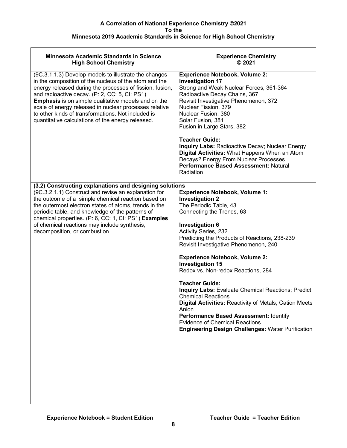| Minnesota Academic Standards in Science<br><b>High School Chemistry</b>                                                                                                                                                                                                                                                                                                                                                                                        | <b>Experience Chemistry</b><br>@2021                                                                                                                                                                                                                                                                                                                                                                                                                                                                                                                                                                                                                                                                                     |
|----------------------------------------------------------------------------------------------------------------------------------------------------------------------------------------------------------------------------------------------------------------------------------------------------------------------------------------------------------------------------------------------------------------------------------------------------------------|--------------------------------------------------------------------------------------------------------------------------------------------------------------------------------------------------------------------------------------------------------------------------------------------------------------------------------------------------------------------------------------------------------------------------------------------------------------------------------------------------------------------------------------------------------------------------------------------------------------------------------------------------------------------------------------------------------------------------|
| (9C.3.1.1.3) Develop models to illustrate the changes<br>in the composition of the nucleus of the atom and the<br>energy released during the processes of fission, fusion,<br>and radioactive decay. (P: 2, CC: 5, CI: PS1)<br><b>Emphasis</b> is on simple qualitative models and on the<br>scale of energy released in nuclear processes relative<br>to other kinds of transformations. Not included is<br>quantitative calculations of the energy released. | <b>Experience Notebook, Volume 2:</b><br><b>Investigation 17</b><br>Strong and Weak Nuclear Forces, 361-364<br>Radioactive Decay Chains, 367<br>Revisit Investigative Phenomenon, 372<br>Nuclear Fission, 379<br>Nuclear Fusion, 380<br>Solar Fusion, 381<br>Fusion in Large Stars, 382<br><b>Teacher Guide:</b><br><b>Inquiry Labs: Radioactive Decay; Nuclear Energy</b><br>Digital Activities: What Happens When an Atom<br>Decays? Energy From Nuclear Processes<br>Performance Based Assessment: Natural<br>Radiation                                                                                                                                                                                               |
|                                                                                                                                                                                                                                                                                                                                                                                                                                                                |                                                                                                                                                                                                                                                                                                                                                                                                                                                                                                                                                                                                                                                                                                                          |
| (3.2) Constructing explanations and designing solutions<br>(9C.3.2.1.1) Construct and revise an explanation for<br>the outcome of a simple chemical reaction based on<br>the outermost electron states of atoms, trends in the<br>periodic table, and knowledge of the patterns of<br>chemical properties. (P: 6, CC: 1, CI: PS1) Examples<br>of chemical reactions may include synthesis,<br>decomposition, or combustion.                                    | <b>Experience Notebook, Volume 1:</b><br><b>Investigation 2</b><br>The Periodic Table, 43<br>Connecting the Trends, 63<br><b>Investigation 6</b><br><b>Activity Series, 232</b><br>Predicting the Products of Reactions, 238-239<br>Revisit Investigative Phenomenon, 240<br><b>Experience Notebook, Volume 2:</b><br><b>Investigation 15</b><br>Redox vs. Non-redox Reactions, 284<br><b>Teacher Guide:</b><br><b>Inquiry Labs: Evaluate Chemical Reactions; Predict</b><br><b>Chemical Reactions</b><br>Digital Activities: Reactivity of Metals; Cation Meets<br>Anion<br>Performance Based Assessment: Identify<br><b>Evidence of Chemical Reactions</b><br><b>Engineering Design Challenges: Water Purification</b> |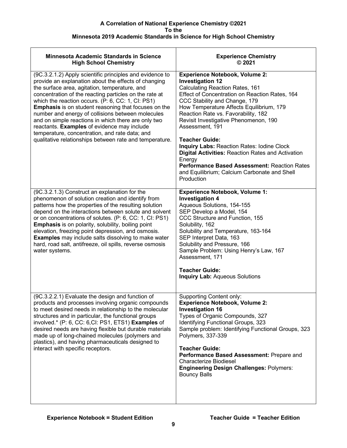| <b>Minnesota Academic Standards in Science</b><br><b>High School Chemistry</b>                                                                                                                                                                                                                                                                                                                                                                                                                                                                                                                                          | <b>Experience Chemistry</b><br>@2021                                                                                                                                                                                                                                                                                                                                                                                                                                                                                                                                                                                  |
|-------------------------------------------------------------------------------------------------------------------------------------------------------------------------------------------------------------------------------------------------------------------------------------------------------------------------------------------------------------------------------------------------------------------------------------------------------------------------------------------------------------------------------------------------------------------------------------------------------------------------|-----------------------------------------------------------------------------------------------------------------------------------------------------------------------------------------------------------------------------------------------------------------------------------------------------------------------------------------------------------------------------------------------------------------------------------------------------------------------------------------------------------------------------------------------------------------------------------------------------------------------|
| (9C.3.2.1.2) Apply scientific principles and evidence to<br>provide an explanation about the effects of changing<br>the surface area, agitation, temperature, and<br>concentration of the reacting particles on the rate at<br>which the reaction occurs. (P: 6, CC: 1, CI: PS1)<br><b>Emphasis</b> is on student reasoning that focuses on the<br>number and energy of collisions between molecules<br>and on simple reactions in which there are only two<br>reactants. Examples of evidence may include<br>temperature, concentration, and rate data; and<br>qualitative relationships between rate and temperature. | <b>Experience Notebook, Volume 2:</b><br><b>Investigation 12</b><br><b>Calculating Reaction Rates, 161</b><br>Effect of Concentration on Reaction Rates, 164<br>CCC Stability and Change, 179<br>How Temperature Affects Equilibrium, 179<br>Reaction Rate vs. Favorability, 182<br>Revisit Investigative Phenomenon, 190<br>Assessment, 191<br><b>Teacher Guide:</b><br><b>Inquiry Labs: Reaction Rates: Iodine Clock</b><br><b>Digital Activities: Reaction Rates and Activation</b><br>Energy<br><b>Performance Based Assessment: Reaction Rates</b><br>and Equilibrium; Calcium Carbonate and Shell<br>Production |
| (9C.3.2.1.3) Construct an explanation for the<br>phenomenon of solution creation and identify from<br>patterns how the properties of the resulting solution<br>depend on the interactions between solute and solvent<br>or on concentrations of solutes. (P: 6, CC: 1, CI: PS1)<br><b>Emphasis</b> is on polarity, solubility, boiling point<br>elevation, freezing point depression, and osmosis.<br><b>Examples</b> may include salts dissolving to make water<br>hard, road salt, antifreeze, oil spills, reverse osmosis<br>water systems.                                                                          | <b>Experience Notebook, Volume 1:</b><br><b>Investigation 4</b><br>Aqueous Solutions, 154-155<br>SEP Develop a Model, 154<br>CCC Structure and Function, 155<br>Solubility, 162<br>Solubility and Temperature, 163-164<br>SEP Interpret Data, 163<br>Solubility and Pressure, 166<br>Sample Problem: Using Henry's Law, 167<br>Assessment, 171<br><b>Teacher Guide:</b><br><b>Inquiry Lab: Aqueous Solutions</b>                                                                                                                                                                                                      |
| (9C.3.2.2.1) Evaluate the design and function of<br>products and processes involving organic compounds<br>to meet desired needs in relationship to the molecular<br>structures and in particular, the functional groups<br>involved.* (P: 6, CC: 6,CI: PS1, ETS1) Examples of<br>desired needs are having flexible but durable materials<br>made up of long-chained molecules (polymers and<br>plastics), and having pharmaceuticals designed to<br>interact with specific receptors.                                                                                                                                   | <b>Supporting Content only:</b><br><b>Experience Notebook, Volume 2:</b><br><b>Investigation 16</b><br>Types of Organic Compounds, 327<br>Identifying Functional Groups, 323<br>Sample problem: Identifying Functional Groups, 323<br>Polymers, 337-339<br><b>Teacher Guide:</b><br>Performance Based Assessment: Prepare and<br>Characterize Biodiesel<br><b>Engineering Design Challenges: Polymers:</b><br><b>Bouncy Balls</b>                                                                                                                                                                                     |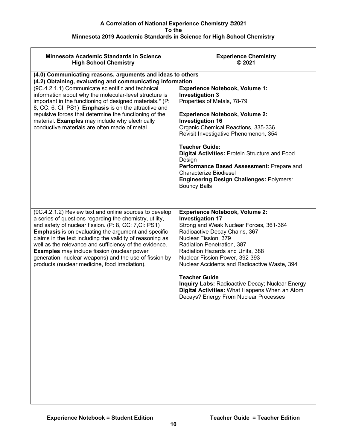| <b>Minnesota Academic Standards in Science</b><br><b>High School Chemistry</b>                                                                                                                                                                                                                                                                                                                                                                                                                                                     | <b>Experience Chemistry</b><br>$@$ 2021                                                                                                                                                                                                                                                                                                                                                                                                                                                              |
|------------------------------------------------------------------------------------------------------------------------------------------------------------------------------------------------------------------------------------------------------------------------------------------------------------------------------------------------------------------------------------------------------------------------------------------------------------------------------------------------------------------------------------|------------------------------------------------------------------------------------------------------------------------------------------------------------------------------------------------------------------------------------------------------------------------------------------------------------------------------------------------------------------------------------------------------------------------------------------------------------------------------------------------------|
| (4.0) Communicating reasons, arguments and ideas to others                                                                                                                                                                                                                                                                                                                                                                                                                                                                         |                                                                                                                                                                                                                                                                                                                                                                                                                                                                                                      |
| (4.2) Obtaining, evaluating and communicating information                                                                                                                                                                                                                                                                                                                                                                                                                                                                          |                                                                                                                                                                                                                                                                                                                                                                                                                                                                                                      |
| (9C.4.2.1.1) Communicate scientific and technical<br>information about why the molecular-level structure is<br>important in the functioning of designed materials.* (P:<br>8, CC: 6, Cl: PS1) Emphasis is on the attractive and<br>repulsive forces that determine the functioning of the<br>material. Examples may include why electrically<br>conductive materials are often made of metal.                                                                                                                                      | <b>Experience Notebook, Volume 1:</b><br><b>Investigation 3</b><br>Properties of Metals, 78-79<br><b>Experience Notebook, Volume 2:</b><br><b>Investigation 16</b><br>Organic Chemical Reactions, 335-336<br>Revisit Investigative Phenomenon, 354<br><b>Teacher Guide:</b><br>Digital Activities: Protein Structure and Food<br>Design<br>Performance Based Assessment: Prepare and<br><b>Characterize Biodiesel</b><br><b>Engineering Design Challenges: Polymers:</b><br><b>Bouncy Balls</b>      |
| (9C.4.2.1.2) Review text and online sources to develop<br>a series of questions regarding the chemistry, utility,<br>and safety of nuclear fission. (P: 8, CC: 7, CI: PS1)<br><b>Emphasis</b> is on evaluating the argument and specific<br>claims in the text including the validity of reasoning as<br>well as the relevance and sufficiency of the evidence.<br><b>Examples</b> may include fission (nuclear power<br>generation, nuclear weapons) and the use of fission by-<br>products (nuclear medicine, food irradiation). | <b>Experience Notebook, Volume 2:</b><br><b>Investigation 17</b><br>Strong and Weak Nuclear Forces, 361-364<br>Radioactive Decay Chains, 367<br>Nuclear Fission, 379<br>Radiation Penetration, 387<br>Radiation Hazards and Units, 388<br>Nuclear Fission Power, 392-393<br>Nuclear Accidents and Radioactive Waste, 394<br><b>Teacher Guide</b><br><b>Inquiry Labs: Radioactive Decay; Nuclear Energy</b><br>Digital Activities: What Happens When an Atom<br>Decays? Energy From Nuclear Processes |